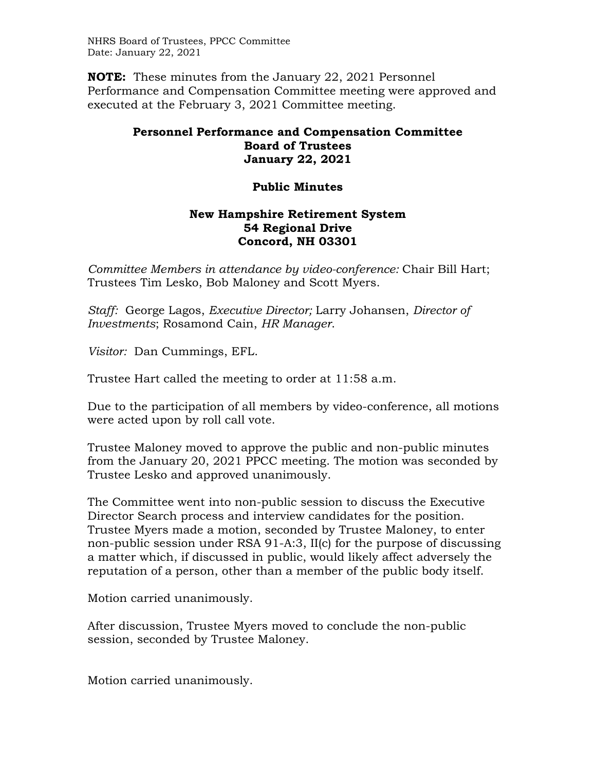NHRS Board of Trustees, PPCC Committee Date: January 22, 2021

**NOTE:** These minutes from the January 22, 2021 Personnel Performance and Compensation Committee meeting were approved and executed at the February 3, 2021 Committee meeting.

## **Personnel Performance and Compensation Committee Board of Trustees January 22, 2021**

## **Public Minutes**

## **New Hampshire Retirement System 54 Regional Drive Concord, NH 03301**

*Committee Members in attendance by video-conference:* Chair Bill Hart; Trustees Tim Lesko, Bob Maloney and Scott Myers.

*Staff:* George Lagos, *Executive Director;* Larry Johansen, *Director of Investments*; Rosamond Cain, *HR Manager*.

*Visitor:* Dan Cummings, EFL.

Trustee Hart called the meeting to order at 11:58 a.m.

Due to the participation of all members by video-conference, all motions were acted upon by roll call vote.

Trustee Maloney moved to approve the public and non-public minutes from the January 20, 2021 PPCC meeting. The motion was seconded by Trustee Lesko and approved unanimously.

The Committee went into non-public session to discuss the Executive Director Search process and interview candidates for the position. Trustee Myers made a motion, seconded by Trustee Maloney, to enter non-public session under RSA 91-A:3, II(c) for the purpose of discussing a matter which, if discussed in public, would likely affect adversely the reputation of a person, other than a member of the public body itself.

Motion carried unanimously.

After discussion, Trustee Myers moved to conclude the non-public session, seconded by Trustee Maloney.

Motion carried unanimously.